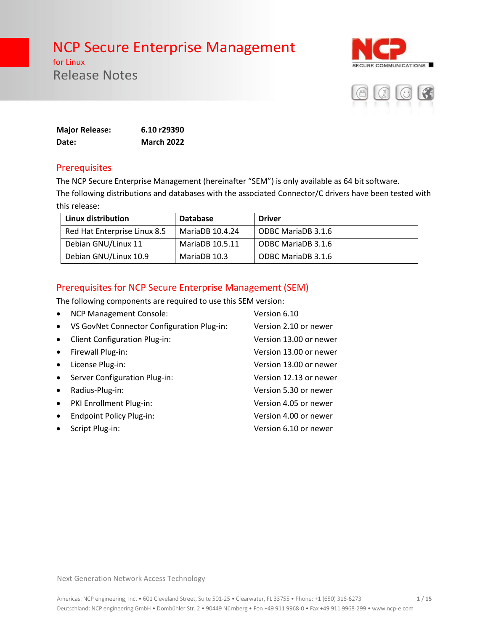for Linux Release Notes





| <b>Major Release:</b> | 6.10 r29390       |
|-----------------------|-------------------|
| Date:                 | <b>March 2022</b> |

#### **Prerequisites**

The NCP Secure Enterprise Management (hereinafter "SEM") is only available as 64 bit software.

The following distributions and databases with the associated Connector/C drivers have been tested with this release:

| Linux distribution           | <b>Database</b> | <b>Driver</b>      |
|------------------------------|-----------------|--------------------|
| Red Hat Enterprise Linux 8.5 | MariaDB 10.4.24 | ODBC MariaDB 3.1.6 |
| Debian GNU/Linux 11          | MariaDB 10.5.11 | ODBC MariaDB 3.1.6 |
| Debian GNU/Linux 10.9        | MariaDB 10.3    | ODBC MariaDB 3.1.6 |

## Prerequisites for NCP Secure Enterprise Management (SEM)

The following components are required to use this SEM version:

| $\bullet$ | <b>NCP Management Console:</b>             | Version 6.10           |
|-----------|--------------------------------------------|------------------------|
| $\bullet$ | VS GovNet Connector Configuration Plug-in: | Version 2.10 or newer  |
| $\bullet$ | <b>Client Configuration Plug-in:</b>       | Version 13.00 or newer |
| $\bullet$ | Firewall Plug-in:                          | Version 13.00 or newer |
| $\bullet$ | License Plug-in:                           | Version 13.00 or newer |
| $\bullet$ | Server Configuration Plug-in:              | Version 12.13 or newer |
| $\bullet$ | Radius-Plug-in:                            | Version 5.30 or newer  |
| $\bullet$ | PKI Enrollment Plug-in:                    | Version 4.05 or newer  |
| $\bullet$ | <b>Endpoint Policy Plug-in:</b>            | Version 4.00 or newer  |
| $\bullet$ | Script Plug-in:                            | Version 6.10 or newer  |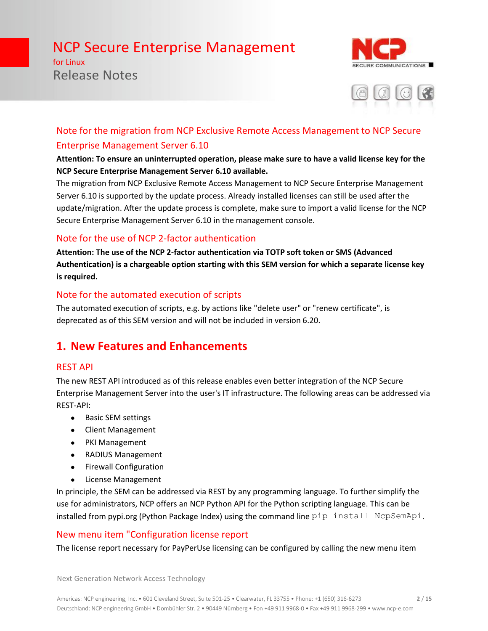for Linux Release Notes





# Note for the migration from NCP Exclusive Remote Access Management to NCP Secure Enterprise Management Server 6.10

#### **Attention: To ensure an uninterrupted operation, please make sure to have a valid license key for the NCP Secure Enterprise Management Server 6.10 available.**

The migration from NCP Exclusive Remote Access Management to NCP Secure Enterprise Management Server 6.10 is supported by the update process. Already installed licenses can still be used after the update/migration. After the update process is complete, make sure to import a valid license for the NCP Secure Enterprise Management Server 6.10 in the management console.

## Note for the use of NCP 2-factor authentication

**Attention: The use of the NCP 2-factor authentication via TOTP soft token or SMS (Advanced Authentication) is a chargeable option starting with this SEM version for which a separate license key is required.**

## Note for the automated execution of scripts

The automated execution of scripts, e.g. by actions like "delete user" or "renew certificate", is deprecated as of this SEM version and will not be included in version 6.20.

# **1. New Features and Enhancements**

### REST API

The new REST API introduced as of this release enables even better integration of the NCP Secure Enterprise Management Server into the user's IT infrastructure. The following areas can be addressed via REST-API:

- Basic SEM settings
- Client Management
- PKI Management
- RADIUS Management
- Firewall Configuration
- License Management

In principle, the SEM can be addressed via REST by any programming language. To further simplify the use for administrators, NCP offers an NCP Python API for the Python scripting language. This can be installed from pypi.org (Python Package Index) using the command line pip install NcpSemApi.

# New menu item "Configuration license report

The license report necessary for PayPerUse licensing can be configured by calling the new menu item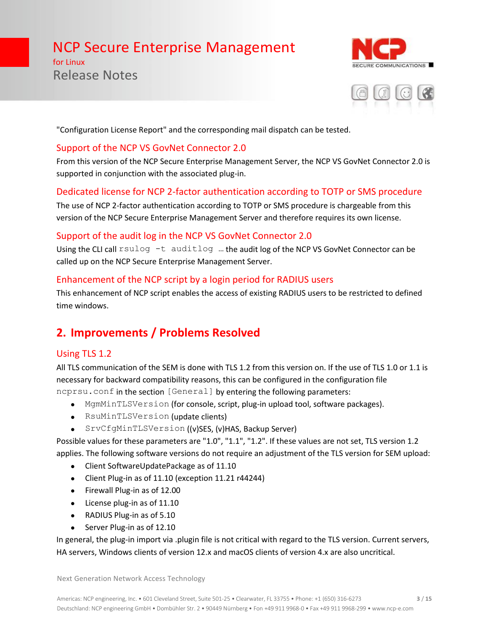for Linux Release Notes





"Configuration License Report" and the corresponding mail dispatch can be tested.

#### Support of the NCP VS GovNet Connector 2.0

From this version of the NCP Secure Enterprise Management Server, the NCP VS GovNet Connector 2.0 is supported in conjunction with the associated plug-in.

## Dedicated license for NCP 2-factor authentication according to TOTP or SMS procedure

The use of NCP 2-factor authentication according to TOTP or SMS procedure is chargeable from this version of the NCP Secure Enterprise Management Server and therefore requires its own license.

### Support of the audit log in the NCP VS GovNet Connector 2.0

Using the CLI call rsulog -t auditlog ... the audit log of the NCP VS GovNet Connector can be called up on the NCP Secure Enterprise Management Server.

### Enhancement of the NCP script by a login period for RADIUS users

This enhancement of NCP script enables the access of existing RADIUS users to be restricted to defined time windows.

# **2. Improvements / Problems Resolved**

### Using TLS 1.2

All TLS communication of the SEM is done with TLS 1.2 from this version on. If the use of TLS 1.0 or 1.1 is necessary for backward compatibility reasons, this can be configured in the configuration file

- ncprsu.conf in the section [General] by entering the following parameters:
	- MgmMinTLSVersion (for console, script, plug-in upload tool, software packages).
	- RsuMinTLSVersion (update clients)
	- SrvCfgMinTLSVersion ((v)SES, (v)HAS, Backup Server)

Possible values for these parameters are "1.0", "1.1", "1.2". If these values are not set, TLS version 1.2 applies. The following software versions do not require an adjustment of the TLS version for SEM upload:

- Client SoftwareUpdatePackage as of 11.10
- Client Plug-in as of 11.10 (exception 11.21 r44244)
- Firewall Plug-in as of 12.00
- License plug-in as of 11.10
- RADIUS Plug-in as of 5.10
- Server Plug-in as of 12.10

In general, the plug-in import via .plugin file is not critical with regard to the TLS version. Current servers, HA servers, Windows clients of version 12.x and macOS clients of version 4.x are also uncritical.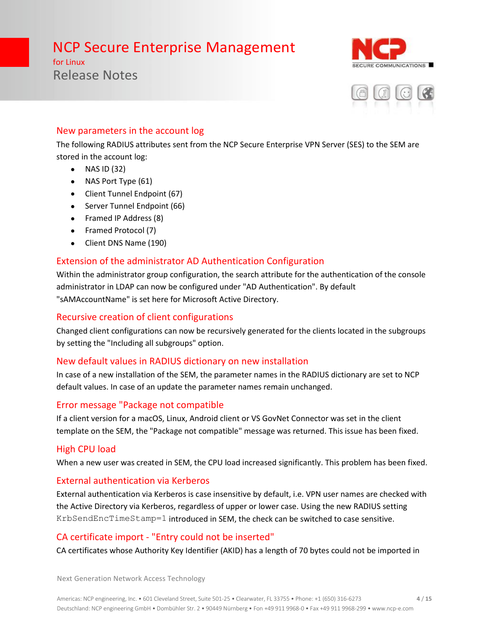for Linux Release Notes





### New parameters in the account log

The following RADIUS attributes sent from the NCP Secure Enterprise VPN Server (SES) to the SEM are stored in the account log:

- $\bullet$  NAS ID (32)
- NAS Port Type (61)
- Client Tunnel Endpoint (67)
- Server Tunnel Endpoint (66)
- Framed IP Address (8)
- Framed Protocol (7)
- Client DNS Name (190)

# Extension of the administrator AD Authentication Configuration

Within the administrator group configuration, the search attribute for the authentication of the console administrator in LDAP can now be configured under "AD Authentication". By default "sAMAccountName" is set here for Microsoft Active Directory.

## Recursive creation of client configurations

Changed client configurations can now be recursively generated for the clients located in the subgroups by setting the "Including all subgroups" option.

# New default values in RADIUS dictionary on new installation

In case of a new installation of the SEM, the parameter names in the RADIUS dictionary are set to NCP default values. In case of an update the parameter names remain unchanged.

# Error message "Package not compatible

If a client version for a macOS, Linux, Android client or VS GovNet Connector was set in the client template on the SEM, the "Package not compatible" message was returned. This issue has been fixed.

# High CPU load

When a new user was created in SEM, the CPU load increased significantly. This problem has been fixed.

# External authentication via Kerberos

External authentication via Kerberos is case insensitive by default, i.e. VPN user names are checked with the Active Directory via Kerberos, regardless of upper or lower case. Using the new RADIUS setting KrbSendEncTimeStamp=1 introduced in SEM, the check can be switched to case sensitive.

# CA certificate import - "Entry could not be inserted"

CA certificates whose Authority Key Identifier (AKID) has a length of 70 bytes could not be imported in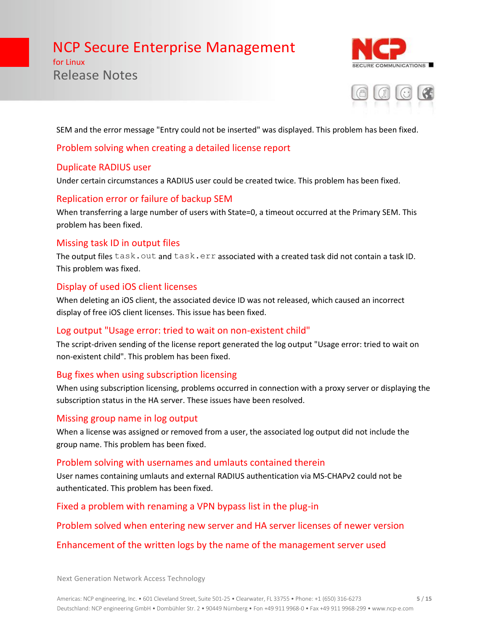for Linux Release Notes





SEM and the error message "Entry could not be inserted" was displayed. This problem has been fixed.

#### Problem solving when creating a detailed license report

#### Duplicate RADIUS user

Under certain circumstances a RADIUS user could be created twice. This problem has been fixed.

#### Replication error or failure of backup SEM

When transferring a large number of users with State=0, a timeout occurred at the Primary SEM. This problem has been fixed.

#### Missing task ID in output files

The output files task.out and task.err associated with a created task did not contain a task ID. This problem was fixed.

#### Display of used iOS client licenses

When deleting an iOS client, the associated device ID was not released, which caused an incorrect display of free iOS client licenses. This issue has been fixed.

#### Log output "Usage error: tried to wait on non-existent child"

The script-driven sending of the license report generated the log output "Usage error: tried to wait on non-existent child". This problem has been fixed.

### Bug fixes when using subscription licensing

When using subscription licensing, problems occurred in connection with a proxy server or displaying the subscription status in the HA server. These issues have been resolved.

#### Missing group name in log output

When a license was assigned or removed from a user, the associated log output did not include the group name. This problem has been fixed.

#### Problem solving with usernames and umlauts contained therein

User names containing umlauts and external RADIUS authentication via MS-CHAPv2 could not be authenticated. This problem has been fixed.

Fixed a problem with renaming a VPN bypass list in the plug-in

#### Problem solved when entering new server and HA server licenses of newer version

### Enhancement of the written logs by the name of the management server used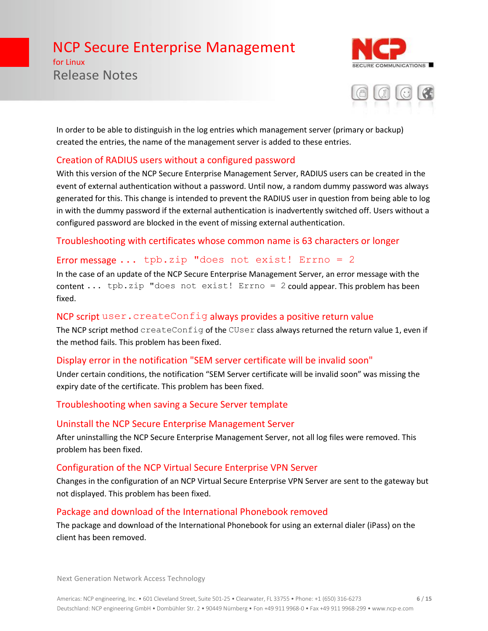for Linux Release Notes





In order to be able to distinguish in the log entries which management server (primary or backup) created the entries, the name of the management server is added to these entries.

### Creation of RADIUS users without a configured password

With this version of the NCP Secure Enterprise Management Server, RADIUS users can be created in the event of external authentication without a password. Until now, a random dummy password was always generated for this. This change is intended to prevent the RADIUS user in question from being able to log in with the dummy password if the external authentication is inadvertently switched off. Users without a configured password are blocked in the event of missing external authentication.

Troubleshooting with certificates whose common name is 63 characters or longer

#### Error message  $\ldots$  tpb.zip "does not exist! Errno = 2

In the case of an update of the NCP Secure Enterprise Management Server, an error message with the content ... tpb.zip "does not exist! Errno = 2 could appear. This problem has been fixed.

#### NCP script user.createConfig always provides a positive return value

The NCP script method createConfig of the CUser class always returned the return value 1, even if the method fails. This problem has been fixed.

### Display error in the notification "SEM server certificate will be invalid soon"

Under certain conditions, the notification "SEM Server certificate will be invalid soon" was missing the expiry date of the certificate. This problem has been fixed.

### Troubleshooting when saving a Secure Server template

#### Uninstall the NCP Secure Enterprise Management Server

After uninstalling the NCP Secure Enterprise Management Server, not all log files were removed. This problem has been fixed.

### Configuration of the NCP Virtual Secure Enterprise VPN Server

Changes in the configuration of an NCP Virtual Secure Enterprise VPN Server are sent to the gateway but not displayed. This problem has been fixed.

### Package and download of the International Phonebook removed

The package and download of the International Phonebook for using an external dialer (iPass) on the client has been removed.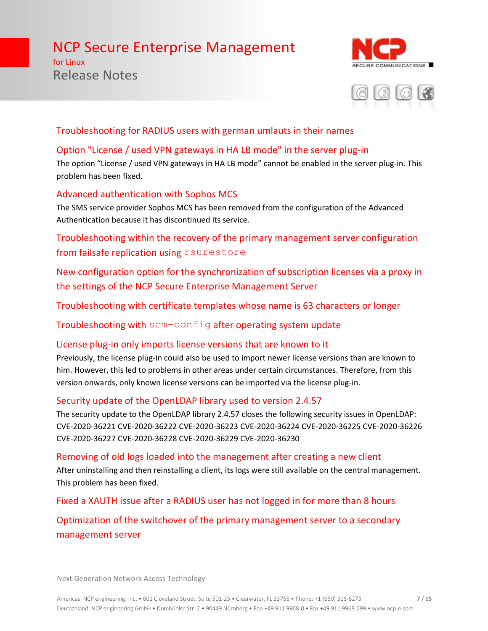for Linux Release Notes





### Troubleshooting for RADIUS users with german umlauts in their names

### Option "License / used VPN gateways in HA LB mode" in the server plug-in

The option "License / used VPN gateways in HA LB mode" cannot be enabled in the server plug-in. This problem has been fixed.

### Advanced authentication with Sophos MCS

The SMS service provider Sophos MCS has been removed from the configuration of the Advanced Authentication because it has discontinued its service.

Troubleshooting within the recovery of the primary management server configuration from failsafe replication using rsurestore

New configuration option for the synchronization of subscription licenses via a proxy in the settings of the NCP Secure Enterprise Management Server

Troubleshooting with certificate templates whose name is 63 characters or longer

Troubleshooting with sem-config after operating system update

### License plug-in only imports license versions that are known to it

Previously, the license plug-in could also be used to import newer license versions than are known to him. However, this led to problems in other areas under certain circumstances. Therefore, from this version onwards, only known license versions can be imported via the license plug-in.

# Security update of the OpenLDAP library used to version 2.4.57

The security update to the OpenLDAP library 2.4.57 closes the following security issues in OpenLDAP: CVE-2020-36221 CVE-2020-36222 CVE-2020-36223 CVE-2020-36224 CVE-2020-36225 CVE-2020-36226 CVE-2020-36227 CVE-2020-36228 CVE-2020-36229 CVE-2020-36230

### Removing of old logs loaded into the management after creating a new client

After uninstalling and then reinstalling a client, its logs were still available on the central management. This problem has been fixed.

Fixed a XAUTH issue after a RADIUS user has not logged in for more than 8 hours

# Optimization of the switchover of the primary management server to a secondary management server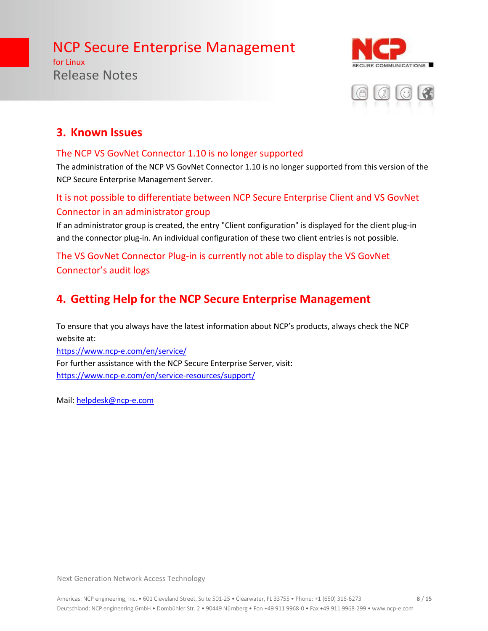for Linux Release Notes





# **3. Known Issues**

### The NCP VS GovNet Connector 1.10 is no longer supported

The administration of the NCP VS GovNet Connector 1.10 is no longer supported from this version of the NCP Secure Enterprise Management Server.

# It is not possible to differentiate between NCP Secure Enterprise Client and VS GovNet Connector in an administrator group

If an administrator group is created, the entry "Client configuration" is displayed for the client plug-in and the connector plug-in. An individual configuration of these two client entries is not possible.

# The VS GovNet Connector Plug-in is currently not able to display the VS GovNet Connector's audit logs

# **4. Getting Help for the NCP Secure Enterprise Management**

To ensure that you always have the latest information about NCP's products, always check the NCP website at:

<https://www.ncp-e.com/en/service/> For further assistance with the NCP Secure Enterprise Server, visit: <https://www.ncp-e.com/en/service-resources/support/>

Mail: [helpdesk@ncp-e.com](mailto:helpdesk@ncp-e.com)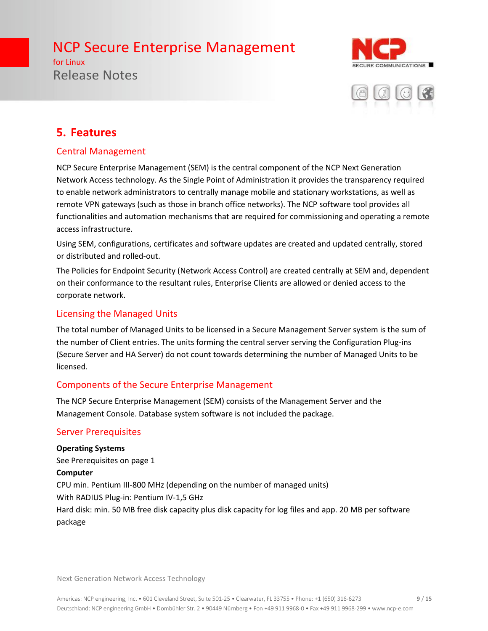for Linux Release Notes





# **5. Features**

### Central Management

NCP Secure Enterprise Management (SEM) is the central component of the NCP Next Generation Network Access technology. As the Single Point of Administration it provides the transparency required to enable network administrators to centrally manage mobile and stationary workstations, as well as remote VPN gateways (such as those in branch office networks). The NCP software tool provides all functionalities and automation mechanisms that are required for commissioning and operating a remote access infrastructure.

Using SEM, configurations, certificates and software updates are created and updated centrally, stored or distributed and rolled-out.

The Policies for Endpoint Security (Network Access Control) are created centrally at SEM and, dependent on their conformance to the resultant rules, Enterprise Clients are allowed or denied access to the corporate network.

#### Licensing the Managed Units

The total number of Managed Units to be licensed in a Secure Management Server system is the sum of the number of Client entries. The units forming the central server serving the Configuration Plug-ins (Secure Server and HA Server) do not count towards determining the number of Managed Units to be licensed.

### Components of the Secure Enterprise Management

The NCP Secure Enterprise Management (SEM) consists of the Management Server and the Management Console. Database system software is not included the package.

### Server Prerequisites

**Operating Systems** See Prerequisites on page 1 **Computer** CPU min. Pentium III-800 MHz (depending on the number of managed units) With RADIUS Plug-in: Pentium IV-1,5 GHz Hard disk: min. 50 MB free disk capacity plus disk capacity for log files and app. 20 MB per software package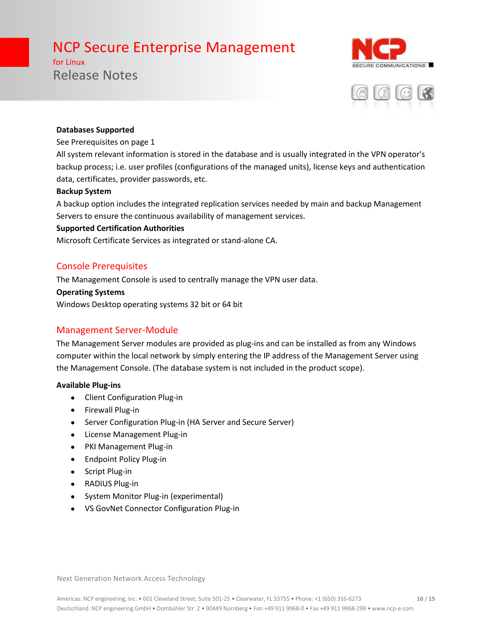for Linux Release Notes





#### **Databases Supported**

#### See Prerequisites on page 1

All system relevant information is stored in the database and is usually integrated in the VPN operator's backup process; i.e. user profiles (configurations of the managed units), license keys and authentication data, certificates, provider passwords, etc.

#### **Backup System**

A backup option includes the integrated replication services needed by main and backup Management Servers to ensure the continuous availability of management services.

#### **Supported Certification Authorities**

Microsoft Certificate Services as integrated or stand-alone CA.

#### Console Prerequisites

The Management Console is used to centrally manage the VPN user data.

#### **Operating Systems**

Windows Desktop operating systems 32 bit or 64 bit

#### Management Server-Module

The Management Server modules are provided as plug-ins and can be installed as from any Windows computer within the local network by simply entering the IP address of the Management Server using the Management Console. (The database system is not included in the product scope).

#### **Available Plug-ins**

- Client Configuration Plug-in
- Firewall Plug-in
- Server Configuration Plug-in (HA Server and Secure Server)
- License Management Plug-in
- PKI Management Plug-in
- Endpoint Policy Plug-in
- Script Plug-in
- RADIUS Plug-in
- System Monitor Plug-in (experimental)
- VS GovNet Connector Configuration Plug-in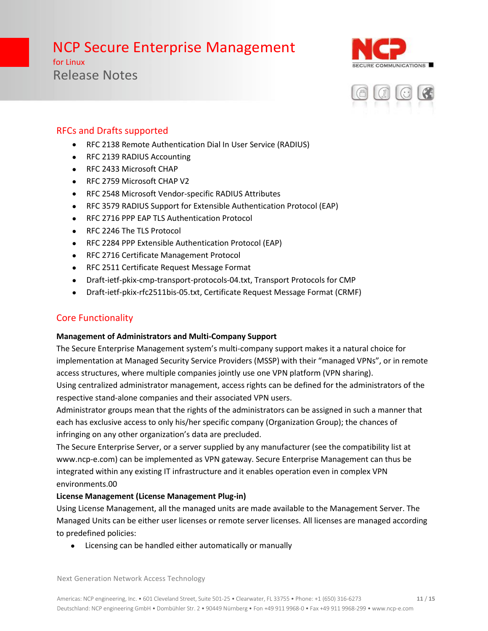for Linux Release Notes





# RFCs and Drafts supported

- RFC 2138 Remote Authentication Dial In User Service (RADIUS)
- RFC 2139 RADIUS Accounting
- RFC 2433 Microsoft CHAP
- RFC 2759 Microsoft CHAP V2
- RFC 2548 Microsoft Vendor-specific RADIUS Attributes
- RFC 3579 RADIUS Support for Extensible Authentication Protocol (EAP)
- RFC 2716 PPP EAP TLS Authentication Protocol
- RFC 2246 The TLS Protocol
- RFC 2284 PPP Extensible Authentication Protocol (EAP)
- RFC 2716 Certificate Management Protocol
- RFC 2511 Certificate Request Message Format
- Draft-ietf-pkix-cmp-transport-protocols-04.txt, Transport Protocols for CMP
- Draft-ietf-pkix-rfc2511bis-05.txt, Certificate Request Message Format (CRMF)

### Core Functionality

#### **Management of Administrators and Multi-Company Support**

The Secure Enterprise Management system's multi-company support makes it a natural choice for implementation at Managed Security Service Providers (MSSP) with their "managed VPNs", or in remote access structures, where multiple companies jointly use one VPN platform (VPN sharing).

Using centralized administrator management, access rights can be defined for the administrators of the respective stand-alone companies and their associated VPN users.

Administrator groups mean that the rights of the administrators can be assigned in such a manner that each has exclusive access to only his/her specific company (Organization Group); the chances of infringing on any other organization's data are precluded.

The Secure Enterprise Server, or a server supplied by any manufacturer (see the compatibility list at www.ncp-e.com) can be implemented as VPN gateway. Secure Enterprise Management can thus be integrated within any existing IT infrastructure and it enables operation even in complex VPN environments.00

#### **License Management (License Management Plug-in)**

Using License Management, all the managed units are made available to the Management Server. The Managed Units can be either user licenses or remote server licenses. All licenses are managed according to predefined policies:

• Licensing can be handled either automatically or manually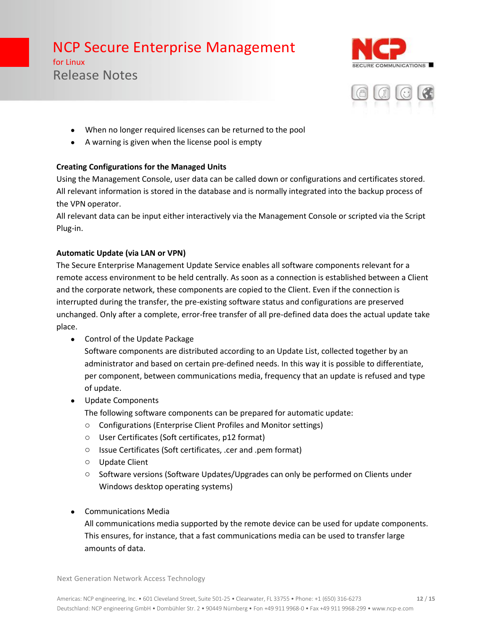for Linux Release Notes





- When no longer required licenses can be returned to the pool
- A warning is given when the license pool is empty

#### **Creating Configurations for the Managed Units**

Using the Management Console, user data can be called down or configurations and certificates stored. All relevant information is stored in the database and is normally integrated into the backup process of the VPN operator.

All relevant data can be input either interactively via the Management Console or scripted via the Script Plug-in.

#### **Automatic Update (via LAN or VPN)**

The Secure Enterprise Management Update Service enables all software components relevant for a remote access environment to be held centrally. As soon as a connection is established between a Client and the corporate network, these components are copied to the Client. Even if the connection is interrupted during the transfer, the pre-existing software status and configurations are preserved unchanged. Only after a complete, error-free transfer of all pre-defined data does the actual update take place.

• Control of the Update Package

Software components are distributed according to an Update List, collected together by an administrator and based on certain pre-defined needs. In this way it is possible to differentiate, per component, between communications media, frequency that an update is refused and type of update.

• Update Components

The following software components can be prepared for automatic update:

- o Configurations (Enterprise Client Profiles and Monitor settings)
- o User Certificates (Soft certificates, p12 format)
- o Issue Certificates (Soft certificates, .cer and .pem format)
- o Update Client
- o Software versions (Software Updates/Upgrades can only be performed on Clients under Windows desktop operating systems)
- Communications Media

All communications media supported by the remote device can be used for update components. This ensures, for instance, that a fast communications media can be used to transfer large amounts of data.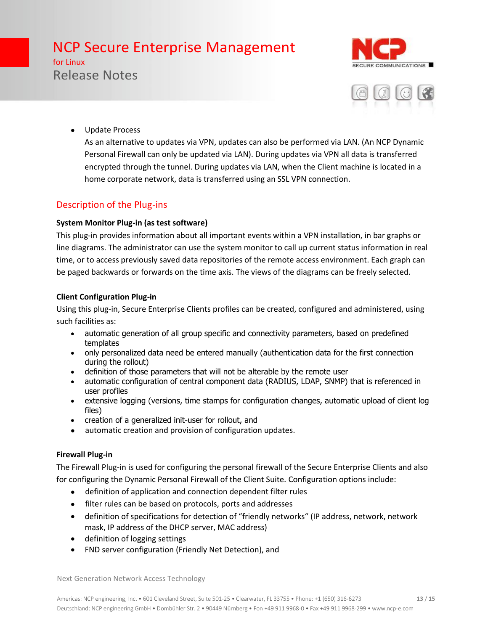for Linux Release Notes





• Update Process

As an alternative to updates via VPN, updates can also be performed via LAN. (An NCP Dynamic Personal Firewall can only be updated via LAN). During updates via VPN all data is transferred encrypted through the tunnel. During updates via LAN, when the Client machine is located in a home corporate network, data is transferred using an SSL VPN connection.

## Description of the Plug-ins

#### **System Monitor Plug-in (as test software)**

This plug-in provides information about all important events within a VPN installation, in bar graphs or line diagrams. The administrator can use the system monitor to call up current status information in real time, or to access previously saved data repositories of the remote access environment. Each graph can be paged backwards or forwards on the time axis. The views of the diagrams can be freely selected.

#### **Client Configuration Plug-in**

Using this plug-in, Secure Enterprise Clients profiles can be created, configured and administered, using such facilities as:

- automatic generation of all group specific and connectivity parameters, based on predefined templates
- only personalized data need be entered manually (authentication data for the first connection during the rollout)
- definition of those parameters that will not be alterable by the remote user
- automatic configuration of central component data (RADIUS, LDAP, SNMP) that is referenced in user profiles
- extensive logging (versions, time stamps for configuration changes, automatic upload of client log files)
- creation of a generalized init-user for rollout, and
- automatic creation and provision of configuration updates.

#### **Firewall Plug-in**

The Firewall Plug-in is used for configuring the personal firewall of the Secure Enterprise Clients and also for configuring the Dynamic Personal Firewall of the Client Suite. Configuration options include:

- definition of application and connection dependent filter rules
- filter rules can be based on protocols, ports and addresses
- definition of specifications for detection of "friendly networks" (IP address, network, network mask, IP address of the DHCP server, MAC address)
- definition of logging settings
- FND server configuration (Friendly Net Detection), and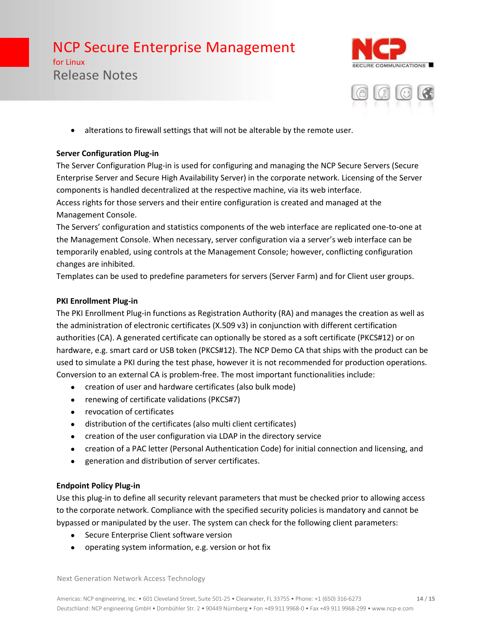for Linux Release Notes





• alterations to firewall settings that will not be alterable by the remote user.

#### **Server Configuration Plug-in**

The Server Configuration Plug-in is used for configuring and managing the NCP Secure Servers (Secure Enterprise Server and Secure High Availability Server) in the corporate network. Licensing of the Server components is handled decentralized at the respective machine, via its web interface. Access rights for those servers and their entire configuration is created and managed at the Management Console.

The Servers' configuration and statistics components of the web interface are replicated one-to-one at the Management Console. When necessary, server configuration via a server's web interface can be temporarily enabled, using controls at the Management Console; however, conflicting configuration changes are inhibited.

Templates can be used to predefine parameters for servers (Server Farm) and for Client user groups.

#### **PKI Enrollment Plug-in**

The PKI Enrollment Plug-in functions as Registration Authority (RA) and manages the creation as well as the administration of electronic certificates (X.509 v3) in conjunction with different certification authorities (CA). A generated certificate can optionally be stored as a soft certificate (PKCS#12) or on hardware, e.g. smart card or USB token (PKCS#12). The NCP Demo CA that ships with the product can be used to simulate a PKI during the test phase, however it is not recommended for production operations. Conversion to an external CA is problem-free. The most important functionalities include:

- creation of user and hardware certificates (also bulk mode)
- renewing of certificate validations (PKCS#7)
- revocation of certificates
- distribution of the certificates (also multi client certificates)
- creation of the user configuration via LDAP in the directory service
- creation of a PAC letter (Personal Authentication Code) for initial connection and licensing, and
- generation and distribution of server certificates.

#### **Endpoint Policy Plug-in**

Use this plug-in to define all security relevant parameters that must be checked prior to allowing access to the corporate network. Compliance with the specified security policies is mandatory and cannot be bypassed or manipulated by the user. The system can check for the following client parameters:

- Secure Enterprise Client software version
- operating system information, e.g. version or hot fix